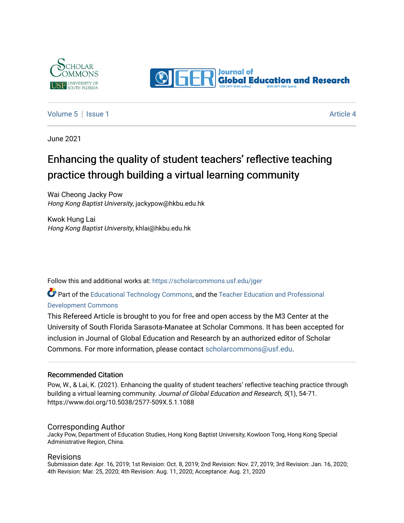



## [Volume 5](https://scholarcommons.usf.edu/jger/vol5) | [Issue 1](https://scholarcommons.usf.edu/jger/vol5/iss1) Article 4

June 2021

## Enhancing the quality of student teachers' reflective teaching practice through building a virtual learning community

Wai Cheong Jacky Pow Hong Kong Baptist University, jackypow@hkbu.edu.hk

Kwok Hung Lai Hong Kong Baptist University, khlai@hkbu.edu.hk

Follow this and additional works at: [https://scholarcommons.usf.edu/jger](https://scholarcommons.usf.edu/jger?utm_source=scholarcommons.usf.edu%2Fjger%2Fvol5%2Fiss1%2F4&utm_medium=PDF&utm_campaign=PDFCoverPages) 

Part of the [Educational Technology Commons,](http://network.bepress.com/hgg/discipline/1415?utm_source=scholarcommons.usf.edu%2Fjger%2Fvol5%2Fiss1%2F4&utm_medium=PDF&utm_campaign=PDFCoverPages) and the [Teacher Education and Professional](http://network.bepress.com/hgg/discipline/803?utm_source=scholarcommons.usf.edu%2Fjger%2Fvol5%2Fiss1%2F4&utm_medium=PDF&utm_campaign=PDFCoverPages)  [Development Commons](http://network.bepress.com/hgg/discipline/803?utm_source=scholarcommons.usf.edu%2Fjger%2Fvol5%2Fiss1%2F4&utm_medium=PDF&utm_campaign=PDFCoverPages) 

This Refereed Article is brought to you for free and open access by the M3 Center at the University of South Florida Sarasota-Manatee at Scholar Commons. It has been accepted for inclusion in Journal of Global Education and Research by an authorized editor of Scholar Commons. For more information, please contact [scholarcommons@usf.edu](mailto:scholarcommons@usf.edu).

#### Recommended Citation

Pow, W., & Lai, K. (2021). Enhancing the quality of student teachers' reflective teaching practice through building a virtual learning community. Journal of Global Education and Research, 5(1), 54-71. https://www.doi.org/10.5038/2577-509X.5.1.1088

#### Corresponding Author

Jacky Pow, Department of Education Studies, Hong Kong Baptist University, Kowloon Tong, Hong Kong Special Administrative Region, China.

#### Revisions

Submission date: Apr. 16, 2019; 1st Revision: Oct. 8, 2019; 2nd Revision: Nov. 27, 2019; 3rd Revision: Jan. 16, 2020; 4th Revision: Mar. 25, 2020; 4th Revision: Aug. 11, 2020; Acceptance: Aug. 21, 2020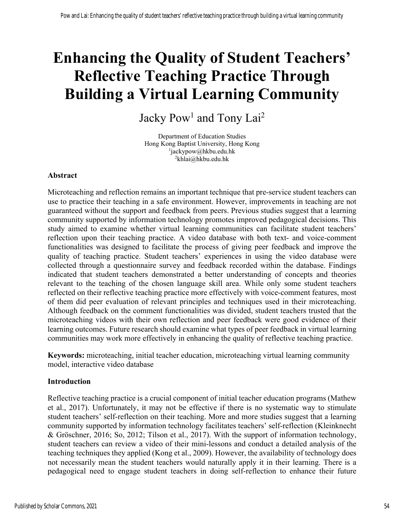# **Enhancing the Quality of Student Teachers' Reflective Teaching Practice Through Building a Virtual Learning Community**

Jacky Pow<sup>1</sup> and Tony Lai<sup>2</sup>

Department of Education Studies Hong Kong Baptist University, Hong Kong 1  $\mu$ <sup>1</sup>jackypow@hkbu.edu.hk <sup>2</sup>khlai@hkbu.edu.hk

## **Abstract**

Microteaching and reflection remains an important technique that pre-service student teachers can use to practice their teaching in a safe environment. However, improvements in teaching are not guaranteed without the support and feedback from peers. Previous studies suggest that a learning community supported by information technology promotes improved pedagogical decisions. This study aimed to examine whether virtual learning communities can facilitate student teachers' reflection upon their teaching practice. A video database with both text- and voice-comment functionalities was designed to facilitate the process of giving peer feedback and improve the quality of teaching practice. Student teachers' experiences in using the video database were collected through a questionnaire survey and feedback recorded within the database. Findings indicated that student teachers demonstrated a better understanding of concepts and theories relevant to the teaching of the chosen language skill area. While only some student teachers reflected on their reflective teaching practice more effectively with voice-comment features, most of them did peer evaluation of relevant principles and techniques used in their microteaching. Although feedback on the comment functionalities was divided, student teachers trusted that the microteaching videos with their own reflection and peer feedback were good evidence of their learning outcomes. Future research should examine what types of peer feedback in virtual learning communities may work more effectively in enhancing the quality of reflective teaching practice.

**Keywords:** microteaching, initial teacher education, microteaching virtual learning community model, interactive video database

## **Introduction**

Reflective teaching practice is a crucial component of initial teacher education programs (Mathew et al., 2017). Unfortunately, it may not be effective if there is no systematic way to stimulate student teachers' self-reflection on their teaching. More and more studies suggest that a learning community supported by information technology facilitates teachers' self-reflection (Kleinknecht & Gröschner, 2016; So, 2012; Tilson et al., 2017). With the support of information technology, student teachers can review a video of their mini-lessons and conduct a detailed analysis of the teaching techniques they applied (Kong et al., 2009). However, the availability of technology does not necessarily mean the student teachers would naturally apply it in their learning. There is a pedagogical need to engage student teachers in doing self-reflection to enhance their future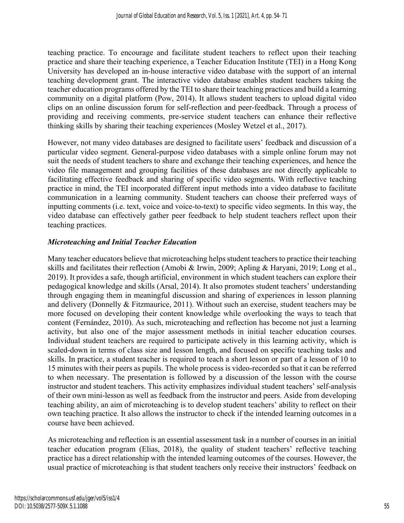teaching practice. To encourage and facilitate student teachers to reflect upon their teaching practice and share their teaching experience, a Teacher Education Institute (TEI) in a Hong Kong University has developed an in-house interactive video database with the support of an internal teaching development grant. The interactive video database enables student teachers taking the teacher education programs offered by the TEI to share their teaching practices and build a learning community on a digital platform (Pow, 2014). It allows student teachers to upload digital video clips on an online discussion forum for self-reflection and peer-feedback. Through a process of providing and receiving comments, pre-service student teachers can enhance their reflective thinking skills by sharing their teaching experiences (Mosley Wetzel et al., 2017).

However, not many video databases are designed to facilitate users' feedback and discussion of a particular video segment. General-purpose video databases with a simple online forum may not suit the needs of student teachers to share and exchange their teaching experiences, and hence the video file management and grouping facilities of these databases are not directly applicable to facilitating effective feedback and sharing of specific video segments. With reflective teaching practice in mind, the TEI incorporated different input methods into a video database to facilitate communication in a learning community. Student teachers can choose their preferred ways of inputting comments (i.e. text, voice and voice-to-text) to specific video segments. In this way, the video database can effectively gather peer feedback to help student teachers reflect upon their teaching practices.

## *Microteaching and Initial Teacher Education*

Many teacher educators believe that microteaching helps student teachers to practice their teaching skills and facilitates their reflection (Amobi & Irwin, 2009; Apling & Haryani, 2019; Long et al., 2019). It provides a safe, though artificial, environment in which student teachers can explore their pedagogical knowledge and skills (Arsal, 2014). It also promotes student teachers' understanding through engaging them in meaningful discussion and sharing of experiences in lesson planning and delivery (Donnelly & Fitzmaurice, 2011). Without such an exercise, student teachers may be more focused on developing their content knowledge while overlooking the ways to teach that content (Fernández, 2010). As such, microteaching and reflection has become not just a learning activity, but also one of the major assessment methods in initial teacher education courses. Individual student teachers are required to participate actively in this learning activity, which is scaled-down in terms of class size and lesson length, and focused on specific teaching tasks and skills. In practice, a student teacher is required to teach a short lesson or part of a lesson of 10 to 15 minutes with their peers as pupils. The whole process is video-recorded so that it can be referred to when necessary. The presentation is followed by a discussion of the lesson with the course instructor and student teachers. This activity emphasizes individual student teachers' self-analysis of their own mini-lesson as well as feedback from the instructor and peers. Aside from developing teaching ability, an aim of microteaching is to develop student teachers' ability to reflect on their own teaching practice. It also allows the instructor to check if the intended learning outcomes in a course have been achieved.

As microteaching and reflection is an essential assessment task in a number of courses in an initial teacher education program (Elias, 2018), the quality of student teachers' reflective teaching practice has a direct relationship with the intended learning outcomes of the courses. However, the usual practice of microteaching is that student teachers only receive their instructors' feedback on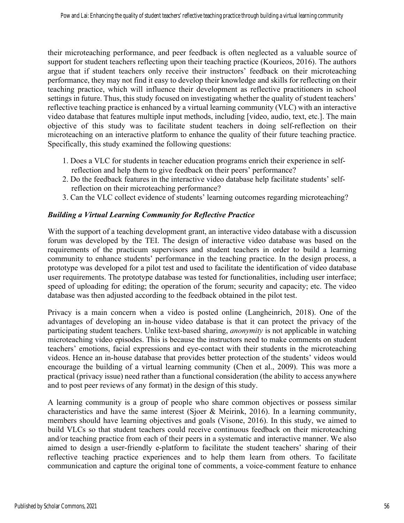their microteaching performance, and peer feedback is often neglected as a valuable source of support for student teachers reflecting upon their teaching practice (Kourieos, 2016). The authors argue that if student teachers only receive their instructors' feedback on their microteaching performance, they may not find it easy to develop their knowledge and skills for reflecting on their teaching practice, which will influence their development as reflective practitioners in school settings in future. Thus, this study focused on investigating whether the quality of student teachers' reflective teaching practice is enhanced by a virtual learning community (VLC) with an interactive video database that features multiple input methods, including [video, audio, text, etc.]. The main objective of this study was to facilitate student teachers in doing self-reflection on their microteaching on an interactive platform to enhance the quality of their future teaching practice. Specifically, this study examined the following questions:

- 1. Does a VLC for students in teacher education programs enrich their experience in selfreflection and help them to give feedback on their peers' performance?
- 2. Do the feedback features in the interactive video database help facilitate students' selfreflection on their microteaching performance?
- 3. Can the VLC collect evidence of students' learning outcomes regarding microteaching?

## *Building a Virtual Learning Community for Reflective Practice*

With the support of a teaching development grant, an interactive video database with a discussion forum was developed by the TEI. The design of interactive video database was based on the requirements of the practicum supervisors and student teachers in order to build a learning community to enhance students' performance in the teaching practice. In the design process, a prototype was developed for a pilot test and used to facilitate the identification of video database user requirements. The prototype database was tested for functionalities, including user interface; speed of uploading for editing; the operation of the forum; security and capacity; etc. The video database was then adjusted according to the feedback obtained in the pilot test.

Privacy is a main concern when a video is posted online (Langheinrich, 2018). One of the advantages of developing an in-house video database is that it can protect the privacy of the participating student teachers. Unlike text-based sharing, *anonymity* is not applicable in watching microteaching video episodes. This is because the instructors need to make comments on student teachers' emotions, facial expressions and eye-contact with their students in the microteaching videos. Hence an in-house database that provides better protection of the students' videos would encourage the building of a virtual learning community (Chen et al., 2009). This was more a practical (privacy issue) need rather than a functional consideration (the ability to access anywhere and to post peer reviews of any format) in the design of this study.

A learning community is a group of people who share common objectives or possess similar characteristics and have the same interest (Sjoer & Meirink, 2016). In a learning community, members should have learning objectives and goals (Visone, 2016). In this study, we aimed to build VLCs so that student teachers could receive continuous feedback on their microteaching and/or teaching practice from each of their peers in a systematic and interactive manner. We also aimed to design a user-friendly e-platform to facilitate the student teachers' sharing of their reflective teaching practice experiences and to help them learn from others. To facilitate communication and capture the original tone of comments, a voice-comment feature to enhance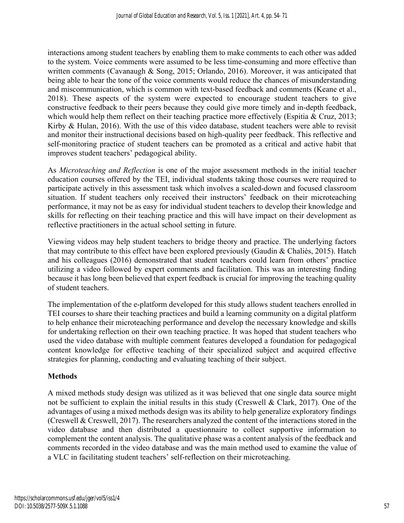interactions among student teachers by enabling them to make comments to each other was added to the system. Voice comments were assumed to be less time-consuming and more effective than written comments (Cavanaugh & Song, 2015; Orlando, 2016). Moreover, it was anticipated that being able to hear the tone of the voice comments would reduce the chances of misunderstanding and miscommunication, which is common with text-based feedback and comments (Keane et al., 2018). These aspects of the system were expected to encourage student teachers to give constructive feedback to their peers because they could give more timely and in-depth feedback, which would help them reflect on their teaching practice more effectively (Espitia & Cruz, 2013; Kirby & Hulan, 2016). With the use of this video database, student teachers were able to revisit and monitor their instructional decisions based on high-quality peer feedback. This reflective and self-monitoring practice of student teachers can be promoted as a critical and active habit that improves student teachers' pedagogical ability.

As *Microteaching and Reflection* is one of the major assessment methods in the initial teacher education courses offered by the TEI, individual students taking those courses were required to participate actively in this assessment task which involves a scaled-down and focused classroom situation. If student teachers only received their instructors' feedback on their microteaching performance, it may not be as easy for individual student teachers to develop their knowledge and skills for reflecting on their teaching practice and this will have impact on their development as reflective practitioners in the actual school setting in future.

Viewing videos may help student teachers to bridge theory and practice. The underlying factors that may contribute to this effect have been explored previously (Gaudin & Chaliès, 2015). Hatch and his colleagues (2016) demonstrated that student teachers could learn from others' practice utilizing a video followed by expert comments and facilitation. This was an interesting finding because it has long been believed that expert feedback is crucial for improving the teaching quality of student teachers.

The implementation of the e-platform developed for this study allows student teachers enrolled in TEI courses to share their teaching practices and build a learning community on a digital platform to help enhance their microteaching performance and develop the necessary knowledge and skills for undertaking reflection on their own teaching practice. It was hoped that student teachers who used the video database with multiple comment features developed a foundation for pedagogical content knowledge for effective teaching of their specialized subject and acquired effective strategies for planning, conducting and evaluating teaching of their subject.

## **Methods**

A mixed methods study design was utilized as it was believed that one single data source might not be sufficient to explain the initial results in this study (Creswell & Clark, 2017). One of the advantages of using a mixed methods design was its ability to help generalize exploratory findings (Creswell & Creswell, 2017). The researchers analyzed the content of the interactions stored in the video database and then distributed a questionnaire to collect supportive information to complement the content analysis. The qualitative phase was a content analysis of the feedback and comments recorded in the video database and was the main method used to examine the value of a VLC in facilitating student teachers' self-reflection on their microteaching.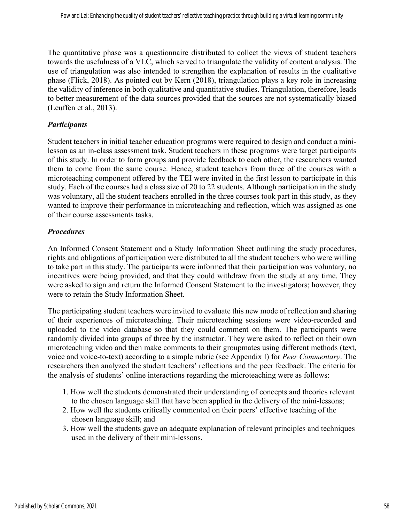The quantitative phase was a questionnaire distributed to collect the views of student teachers towards the usefulness of a VLC, which served to triangulate the validity of content analysis. The use of triangulation was also intended to strengthen the explanation of results in the qualitative phase (Flick, 2018). As pointed out by Kern (2018), triangulation plays a key role in increasing the validity of inference in both qualitative and quantitative studies. Triangulation, therefore, leads to better measurement of the data sources provided that the sources are not systematically biased (Leuffen et al., 2013).

#### *Participants*

Student teachers in initial teacher education programs were required to design and conduct a minilesson as an in-class assessment task. Student teachers in these programs were target participants of this study. In order to form groups and provide feedback to each other, the researchers wanted them to come from the same course. Hence, student teachers from three of the courses with a microteaching component offered by the TEI were invited in the first lesson to participate in this study. Each of the courses had a class size of 20 to 22 students. Although participation in the study was voluntary, all the student teachers enrolled in the three courses took part in this study, as they wanted to improve their performance in microteaching and reflection, which was assigned as one of their course assessments tasks.

#### *Procedures*

An Informed Consent Statement and a Study Information Sheet outlining the study procedures, rights and obligations of participation were distributed to all the student teachers who were willing to take part in this study. The participants were informed that their participation was voluntary, no incentives were being provided, and that they could withdraw from the study at any time. They were asked to sign and return the Informed Consent Statement to the investigators; however, they were to retain the Study Information Sheet.

The participating student teachers were invited to evaluate this new mode of reflection and sharing of their experiences of microteaching. Their microteaching sessions were video-recorded and uploaded to the video database so that they could comment on them. The participants were randomly divided into groups of three by the instructor. They were asked to reflect on their own microteaching video and then make comments to their groupmates using different methods (text, voice and voice-to-text) according to a simple rubric (see Appendix I) for *Peer Commentary*. The researchers then analyzed the student teachers' reflections and the peer feedback. The criteria for the analysis of students' online interactions regarding the microteaching were as follows:

- 1. How well the students demonstrated their understanding of concepts and theories relevant to the chosen language skill that have been applied in the delivery of the mini-lessons;
- 2. How well the students critically commented on their peers' effective teaching of the chosen language skill; and
- 3. How well the students gave an adequate explanation of relevant principles and techniques used in the delivery of their mini-lessons.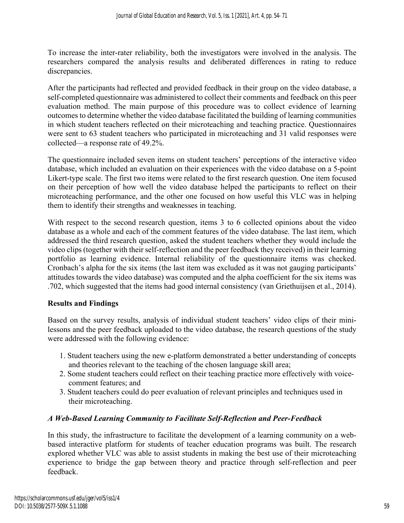To increase the inter-rater reliability, both the investigators were involved in the analysis. The researchers compared the analysis results and deliberated differences in rating to reduce discrepancies.

After the participants had reflected and provided feedback in their group on the video database, a self-completed questionnaire was administered to collect their comments and feedback on this peer evaluation method. The main purpose of this procedure was to collect evidence of learning outcomes to determine whether the video database facilitated the building of learning communities in which student teachers reflected on their microteaching and teaching practice. Questionnaires were sent to 63 student teachers who participated in microteaching and 31 valid responses were collected—a response rate of 49.2%.

The questionnaire included seven items on student teachers' perceptions of the interactive video database, which included an evaluation on their experiences with the video database on a 5-point Likert-type scale. The first two items were related to the first research question. One item focused on their perception of how well the video database helped the participants to reflect on their microteaching performance, and the other one focused on how useful this VLC was in helping them to identify their strengths and weaknesses in teaching.

With respect to the second research question, items 3 to 6 collected opinions about the video database as a whole and each of the comment features of the video database. The last item, which addressed the third research question, asked the student teachers whether they would include the video clips (together with their self-reflection and the peer feedback they received) in their learning portfolio as learning evidence. Internal reliability of the questionnaire items was checked. Cronbach's alpha for the six items (the last item was excluded as it was not gauging participants' attitudes towards the video database) was computed and the alpha coefficient for the six items was .702, which suggested that the items had good internal consistency (van Griethuijsen et al., 2014).

## **Results and Findings**

Based on the survey results, analysis of individual student teachers' video clips of their minilessons and the peer feedback uploaded to the video database, the research questions of the study were addressed with the following evidence:

- 1. Student teachers using the new e-platform demonstrated a better understanding of concepts and theories relevant to the teaching of the chosen language skill area;
- 2. Some student teachers could reflect on their teaching practice more effectively with voicecomment features; and
- 3. Student teachers could do peer evaluation of relevant principles and techniques used in their microteaching.

## *A Web-Based Learning Community to Facilitate Self-Reflection and Peer-Feedback*

In this study, the infrastructure to facilitate the development of a learning community on a webbased interactive platform for students of teacher education programs was built. The research explored whether VLC was able to assist students in making the best use of their microteaching experience to bridge the gap between theory and practice through self-reflection and peer feedback.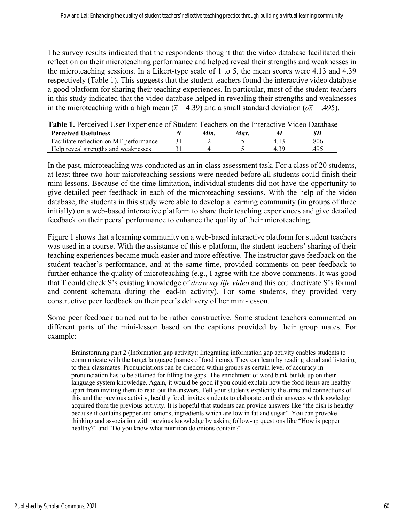The survey results indicated that the respondents thought that the video database facilitated their reflection on their microteaching performance and helped reveal their strengths and weaknesses in the microteaching sessions. In a Likert-type scale of 1 to 5, the mean scores were 4.13 and 4.39 respectively (Table 1). This suggests that the student teachers found the interactive video database a good platform for sharing their teaching experiences. In particular, most of the student teachers in this study indicated that the video database helped in revealing their strengths and weaknesses in the microteaching with a high mean ( $\bar{x}$  = 4.39) and a small standard deviation ( $\sigma \bar{x}$  = .495).

**Perceived Usefulness** *N Min. Max. M SD*  Facilitate reflection on MT performance  $\begin{array}{cccc} 31 & 2 & 5 & 4.13 & .806 \\ 1 \text{He} \text{I} & 2 & 4 & 5 & 4.39 \\ 1 \text{He} & 5 & 4.39 & .495 \end{array}$ Help reveal strengths and weaknesses  $31$  4 5 4.39 .495

**Table 1.** Perceived User Experience of Student Teachers on the Interactive Video Database

In the past, microteaching was conducted as an in-class assessment task. For a class of 20 students, at least three two-hour microteaching sessions were needed before all students could finish their mini-lessons. Because of the time limitation, individual students did not have the opportunity to give detailed peer feedback in each of the microteaching sessions. With the help of the video database, the students in this study were able to develop a learning community (in groups of three initially) on a web-based interactive platform to share their teaching experiences and give detailed feedback on their peers' performance to enhance the quality of their microteaching.

Figure 1 shows that a learning community on a web-based interactive platform for student teachers was used in a course. With the assistance of this e-platform, the student teachers' sharing of their teaching experiences became much easier and more effective. The instructor gave feedback on the student teacher's performance, and at the same time, provided comments on peer feedback to further enhance the quality of microteaching (e.g., I agree with the above comments. It was good that T could check S's existing knowledge of *draw my life video* and this could activate S's formal and content schemata during the lead-in activity). For some students, they provided very constructive peer feedback on their peer's delivery of her mini-lesson.

Some peer feedback turned out to be rather constructive. Some student teachers commented on different parts of the mini-lesson based on the captions provided by their group mates. For example:

Brainstorming part 2 (Information gap activity): Integrating information gap activity enables students to communicate with the target language (names of food items). They can learn by reading aloud and listening to their classmates. Pronunciations can be checked within groups as certain level of accuracy in pronunciation has to be attained for filling the gaps. The enrichment of word bank builds up on their language system knowledge. Again, it would be good if you could explain how the food items are healthy apart from inviting them to read out the answers. Tell your students explicitly the aims and connections of this and the previous activity, healthy food, invites students to elaborate on their answers with knowledge acquired from the previous activity. It is hopeful that students can provide answers like "the dish is healthy because it contains pepper and onions, ingredients which are low in fat and sugar". You can provoke thinking and association with previous knowledge by asking follow-up questions like "How is pepper healthy?" and "Do you know what nutrition do onions contain?"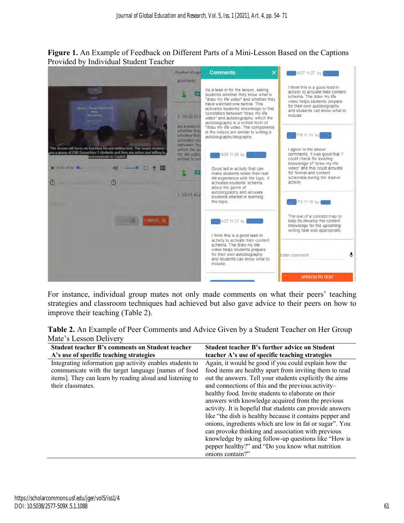**Figure 1.** An Example of Feedback on Different Parts of a Mini-Lesson Based on the Captions Provided by Individual Student Teacher



For instance, individual group mates not only made comments on what their peers' teaching strategies and classroom techniques had achieved but also gave advice to their peers on how to improve their teaching (Table 2).

| Table 2. An Example of Peer Comments and Advice Given by a Student Teacher on Her Group |  |  |
|-----------------------------------------------------------------------------------------|--|--|
| Mate's Lesson Delivery                                                                  |  |  |

| <b>Student teacher B's comments on Student teacher</b>                                                                                                                                           | Student teacher B's further advice on Student                                                                                                                                                                                                                                                                                                                                                                                                                                                                                                                                                                                                                                                                          |
|--------------------------------------------------------------------------------------------------------------------------------------------------------------------------------------------------|------------------------------------------------------------------------------------------------------------------------------------------------------------------------------------------------------------------------------------------------------------------------------------------------------------------------------------------------------------------------------------------------------------------------------------------------------------------------------------------------------------------------------------------------------------------------------------------------------------------------------------------------------------------------------------------------------------------------|
| A's use of specific teaching strategies                                                                                                                                                          | teacher A's use of specific teaching strategies                                                                                                                                                                                                                                                                                                                                                                                                                                                                                                                                                                                                                                                                        |
| Integrating information gap activity enables students to<br>communicate with the target language [names of food<br>items]. They can learn by reading aloud and listening to<br>their classmates. | Again, it would be good if you could explain how the<br>food items are healthy apart from inviting them to read<br>out the answers. Tell your students explicitly the aims<br>and connections of this and the previous activity-<br>healthy food. Invite students to elaborate on their<br>answers with knowledge acquired from the previous<br>activity. It is hopeful that students can provide answers<br>like "the dish is healthy because it contains pepper and<br>onions, ingredients which are low in fat or sugar". You<br>can provoke thinking and association with previous<br>knowledge by asking follow-up questions like "How is<br>pepper healthy?" and "Do you know what nutrition<br>onions contain?" |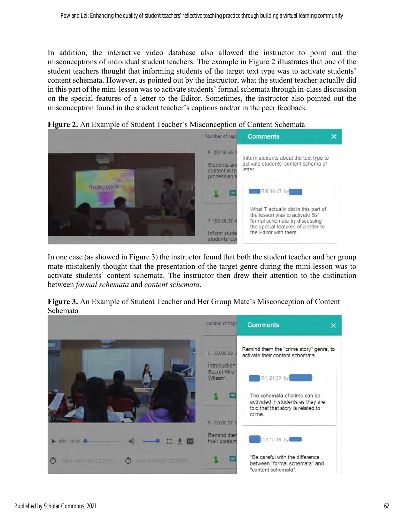In addition, the interactive video database also allowed the instructor to point out the misconceptions of individual student teachers. The example in Figure 2 illustrates that one of the student teachers thought that informing students of the target text type was to activate students' content schemata. However, as pointed out by the instructor, what the student teacher actually did in this part of the mini-lesson was to activate students' formal schemata through in-class discussion on the special features of a letter to the Editor. Sometimes, the instructor also pointed out the misconception found in the student teacher's captions and/or in the peer feedback.



**Figure 2.** An Example of Student Teacher's Misconception of Content Schemata

In one case (as showed in Figure 3) the instructor found that both the student teacher and her group mate mistakenly thought that the presentation of the target genre during the mini-lesson was to activate students' content schemata. The instructor then drew their attention to the distinction between *formal schemata* and *content schemata*.

**Figure 3.** An Example of Student Teacher and Her Group Mate's Misconception of Content Schemata

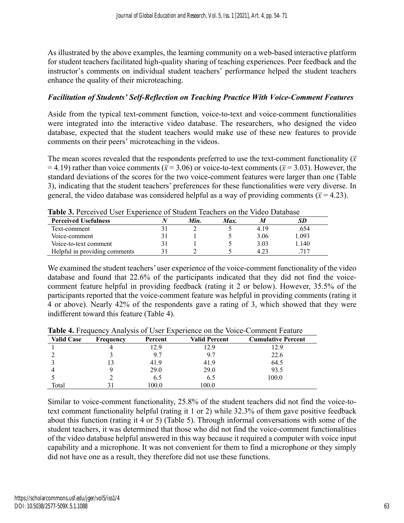As illustrated by the above examples, the learning community on a web-based interactive platform for student teachers facilitated high-quality sharing of teaching experiences. Peer feedback and the instructor's comments on individual student teachers' performance helped the student teachers enhance the quality of their microteaching.

#### *Facilitation of Students' Self-Reflection on Teaching Practice With Voice-Comment Features*

Aside from the typical text-comment function, voice-to-text and voice-comment functionalities were integrated into the interactive video database. The researchers, who designed the video database, expected that the student teachers would make use of these new features to provide comments on their peers' microteaching in the videos.

The mean scores revealed that the respondents preferred to use the text-comment functionality  $(\bar{x})$  $(7.19)$  rather than voice comments ( $\bar{x}$  = 3.06) or voice-to-text comments ( $\bar{x}$  = 3.03). However, the standard deviations of the scores for the two voice-comment features were larger than one (Table 3), indicating that the student teachers' preferences for these functionalities were very diverse. In general, the video database was considered helpful as a way of providing comments ( $\bar{x}$  = 4.23).

| Table 9. I Clectved OSCI EXPORTED OF BRIGGIN Teachers Off the Video Database |  |      |      |      |       |
|------------------------------------------------------------------------------|--|------|------|------|-------|
| <b>Perceived Usefulness</b>                                                  |  | Min. | Max. |      |       |
| Text-comment                                                                 |  |      |      | 4.19 | .654  |
| Voice-comment                                                                |  |      |      | 3.06 | 1.093 |
| Voice-to-text comment                                                        |  |      |      | 3.03 | 1.140 |
| Helpful in providing comments                                                |  |      |      | 4.23 | 717   |

**Table 3.** Perceived User Experience of Student Teachers on the Video Database

We examined the student teachers' user experience of the voice-comment functionality of the video database and found that 22.6% of the participants indicated that they did not find the voicecomment feature helpful in providing feedback (rating it 2 or below). However, 35.5% of the participants reported that the voice-comment feature was helpful in providing comments (rating it 4 or above). Nearly 42% of the respondents gave a rating of 3, which showed that they were indifferent toward this feature (Table 4).

| <b>Valid Case</b> | Frequency | Percent | <b>Valid Percent</b> | <b>Cumulative Percent</b> |
|-------------------|-----------|---------|----------------------|---------------------------|
|                   |           | 12.9    | 12.9                 | 12.9                      |
|                   |           | 9.7     | 9.7                  | 22.6                      |
|                   |           | 41.9    | 41.9                 | 64.5                      |
|                   |           | 29.0    | 29.0                 | 93.5                      |
|                   |           | 6.5     | 6.5                  | 100.0                     |
| Total             |           | .00.0   | 100.0                |                           |

**Table 4.** Frequency Analysis of User Experience on the Voice-Comment Feature

Similar to voice-comment functionality, 25.8% of the student teachers did not find the voice-totext comment functionality helpful (rating it 1 or 2) while 32.3% of them gave positive feedback about this function (rating it 4 or 5) (Table 5). Through informal conversations with some of the student teachers, it was determined that those who did not find the voice-comment functionalities of the video database helpful answered in this way because it required a computer with voice input capability and a microphone. It was not convenient for them to find a microphone or they simply did not have one as a result, they therefore did not use these functions.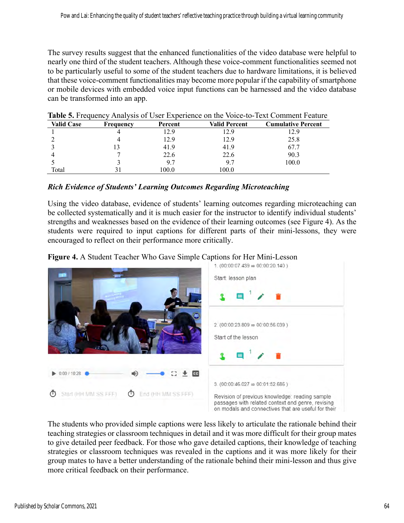The survey results suggest that the enhanced functionalities of the video database were helpful to nearly one third of the student teachers. Although these voice-comment functionalities seemed not to be particularly useful to some of the student teachers due to hardware limitations, it is believed that these voice-comment functionalities may become more popular if the capability of smartphone or mobile devices with embedded voice input functions can be harnessed and the video database can be transformed into an app.

| <b>Valid Case</b> | Frequency | Percent | <b>Valid Percent</b> | <b>Cumulative Percent</b> |
|-------------------|-----------|---------|----------------------|---------------------------|
|                   |           | 12.9    | 12.9                 | 12.9                      |
|                   |           | 12.9    | 12.9                 | 25.8                      |
|                   | 13        | 41.9    | 41.9                 | 67.7                      |
|                   |           | 22.6    | 22.6                 | 90.3                      |
|                   |           | 9.7     | 9.7                  | 100.0                     |
| Total             |           | 100.0   | 100.0                |                           |

|  |  |  |  | <b>Table 5.</b> Frequency Analysis of User Experience on the Voice-to-Text Comment Feature |
|--|--|--|--|--------------------------------------------------------------------------------------------|
|--|--|--|--|--------------------------------------------------------------------------------------------|

#### *Rich Evidence of Students' Learning Outcomes Regarding Microteaching*

Using the video database, evidence of students' learning outcomes regarding microteaching can be collected systematically and it is much easier for the instructor to identify individual students' strengths and weaknesses based on the evidence of their learning outcomes (see Figure 4). As the students were required to input captions for different parts of their mini-lessons, they were encouraged to reflect on their performance more critically.





The students who provided simple captions were less likely to articulate the rationale behind their teaching strategies or classroom techniques in detail and it was more difficult for their group mates to give detailed peer feedback. For those who gave detailed captions, their knowledge of teaching strategies or classroom techniques was revealed in the captions and it was more likely for their group mates to have a better understanding of the rationale behind their mini-lesson and thus give more critical feedback on their performance.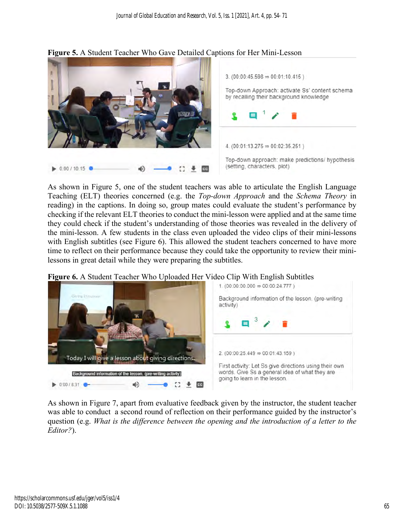

#### **Figure 5.** A Student Teacher Who Gave Detailed Captions for Her Mini-Lesson

As shown in Figure 5, one of the student teachers was able to articulate the English Language Teaching (ELT) theories concerned (e.g. the *Top-down Approach* and the *Schema Theory* in reading) in the captions. In doing so, group mates could evaluate the student's performance by checking if the relevant ELT theories to conduct the mini-lesson were applied and at the same time they could check if the student's understanding of those theories was revealed in the delivery of the mini-lesson. A few students in the class even uploaded the video clips of their mini-lessons with English subtitles (see Figure 6). This allowed the student teachers concerned to have more time to reflect on their performance because they could take the opportunity to review their minilessons in great detail while they were preparing the subtitles.





As shown in Figure 7, apart from evaluative feedback given by the instructor, the student teacher was able to conduct a second round of reflection on their performance guided by the instructor's question (e.g. *What is the difference between the opening and the introduction of a letter to the Editor?*).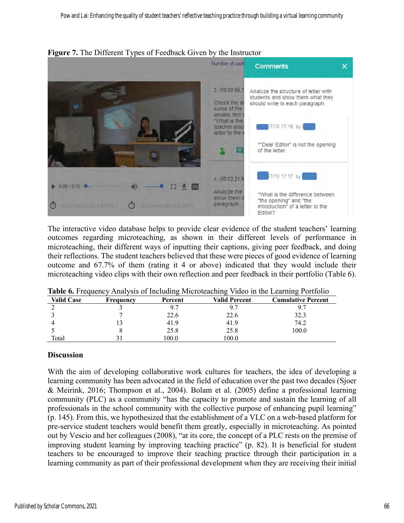

**Figure 7.** The Different Types of Feedback Given by the Instructor

The interactive video database helps to provide clear evidence of the student teachers' learning outcomes regarding microteaching, as shown in their different levels of performance in microteaching, their different ways of inputting their captions, giving peer feedback, and doing their reflections. The student teachers believed that these were pieces of good evidence of learning outcome and 67.7% of them (rating it 4 or above) indicated that they would include their microteaching video clips with their own reflection and peer feedback in their portfolio (Table 6).

| <b>Valid Case</b> | Frequency | Percent | <b>Valid Percent</b> | <b>Cumulative Percent</b> |
|-------------------|-----------|---------|----------------------|---------------------------|
|                   |           |         | 9.7                  | 9.                        |
|                   |           | 22.6    | 22.6                 | 32.3                      |
|                   |           | 41.9    | 41.9                 | 74.2                      |
|                   |           | 25.8    | 25.8                 | 100.0                     |
| Total             |           | 0.00    | 100.0                |                           |

**Table 6.** Frequency Analysis of Including Microteaching Video in the Learning Portfolio

#### **Discussion**

With the aim of developing collaborative work cultures for teachers, the idea of developing a learning community has been advocated in the field of education over the past two decades (Sjoer & Meirink, 2016; Thompson et al., 2004). Bolam et al. (2005) define a professional learning community (PLC) as a community "has the capacity to promote and sustain the learning of all professionals in the school community with the collective purpose of enhancing pupil learning" (p. 145). From this, we hypothesized that the establishment of a VLC on a web-based platform for pre-service student teachers would benefit them greatly, especially in microteaching. As pointed out by Vescio and her colleagues (2008), "at its core, the concept of a PLC rests on the premise of improving student learning by improving teaching practice" (p. 82). It is beneficial for student teachers to be encouraged to improve their teaching practice through their participation in a learning community as part of their professional development when they are receiving their initial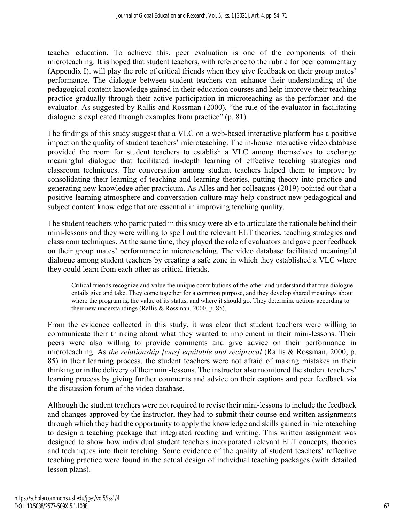teacher education. To achieve this, peer evaluation is one of the components of their microteaching. It is hoped that student teachers, with reference to the rubric for peer commentary (Appendix I), will play the role of critical friends when they give feedback on their group mates' performance. The dialogue between student teachers can enhance their understanding of the pedagogical content knowledge gained in their education courses and help improve their teaching practice gradually through their active participation in microteaching as the performer and the evaluator. As suggested by Rallis and Rossman (2000), "the rule of the evaluator in facilitating dialogue is explicated through examples from practice" (p. 81).

The findings of this study suggest that a VLC on a web-based interactive platform has a positive impact on the quality of student teachers' microteaching. The in-house interactive video database provided the room for student teachers to establish a VLC among themselves to exchange meaningful dialogue that facilitated in-depth learning of effective teaching strategies and classroom techniques. The conversation among student teachers helped them to improve by consolidating their learning of teaching and learning theories, putting theory into practice and generating new knowledge after practicum. As Alles and her colleagues (2019) pointed out that a positive learning atmosphere and conversation culture may help construct new pedagogical and subject content knowledge that are essential in improving teaching quality.

The student teachers who participated in this study were able to articulate the rationale behind their mini-lessons and they were willing to spell out the relevant ELT theories, teaching strategies and classroom techniques. At the same time, they played the role of evaluators and gave peer feedback on their group mates' performance in microteaching. The video database facilitated meaningful dialogue among student teachers by creating a safe zone in which they established a VLC where they could learn from each other as critical friends.

Critical friends recognize and value the unique contributions of the other and understand that true dialogue entails give and take. They come together for a common purpose, and they develop shared meanings about where the program is, the value of its status, and where it should go. They determine actions according to their new understandings (Rallis & Rossman, 2000, p. 85).

From the evidence collected in this study, it was clear that student teachers were willing to communicate their thinking about what they wanted to implement in their mini-lessons. Their peers were also willing to provide comments and give advice on their performance in microteaching. As *the relationship [was] equitable and reciprocal* (Rallis & Rossman, 2000, p. 85) in their learning process, the student teachers were not afraid of making mistakes in their thinking or in the delivery of their mini-lessons. The instructor also monitored the student teachers' learning process by giving further comments and advice on their captions and peer feedback via the discussion forum of the video database.

Although the student teachers were not required to revise their mini-lessons to include the feedback and changes approved by the instructor, they had to submit their course-end written assignments through which they had the opportunity to apply the knowledge and skills gained in microteaching to design a teaching package that integrated reading and writing. This written assignment was designed to show how individual student teachers incorporated relevant ELT concepts, theories and techniques into their teaching. Some evidence of the quality of student teachers' reflective teaching practice were found in the actual design of individual teaching packages (with detailed lesson plans).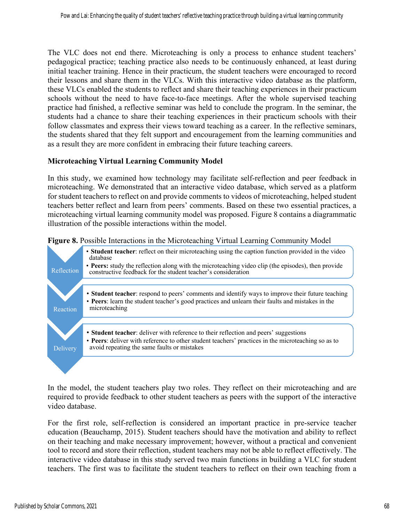The VLC does not end there. Microteaching is only a process to enhance student teachers' pedagogical practice; teaching practice also needs to be continuously enhanced, at least during initial teacher training. Hence in their practicum, the student teachers were encouraged to record their lessons and share them in the VLCs. With this interactive video database as the platform, these VLCs enabled the students to reflect and share their teaching experiences in their practicum schools without the need to have face-to-face meetings. After the whole supervised teaching practice had finished, a reflective seminar was held to conclude the program. In the seminar, the students had a chance to share their teaching experiences in their practicum schools with their follow classmates and express their views toward teaching as a career. In the reflective seminars, the students shared that they felt support and encouragement from the learning communities and as a result they are more confident in embracing their future teaching careers.

#### **Microteaching Virtual Learning Community Model**

In this study, we examined how technology may facilitate self-reflection and peer feedback in microteaching. We demonstrated that an interactive video database, which served as a platform for student teachers to reflect on and provide comments to videos of microteaching, helped student teachers better reflect and learn from peers' comments. Based on these two essential practices, a microteaching virtual learning community model was proposed. Figure 8 contains a diagrammatic illustration of the possible interactions within the model.



**Figure 8.** Possible Interactions in the Microteaching Virtual Learning Community Model

In the model, the student teachers play two roles. They reflect on their microteaching and are required to provide feedback to other student teachers as peers with the support of the interactive video database.

For the first role, self-reflection is considered an important practice in pre-service teacher education (Beauchamp, 2015). Student teachers should have the motivation and ability to reflect on their teaching and make necessary improvement; however, without a practical and convenient tool to record and store their reflection, student teachers may not be able to reflect effectively. The interactive video database in this study served two main functions in building a VLC for student teachers. The first was to facilitate the student teachers to reflect on their own teaching from a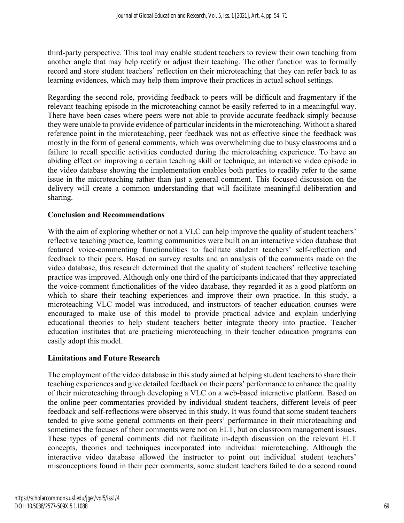third-party perspective. This tool may enable student teachers to review their own teaching from another angle that may help rectify or adjust their teaching. The other function was to formally record and store student teachers' reflection on their microteaching that they can refer back to as learning evidences, which may help them improve their practices in actual school settings.

Regarding the second role, providing feedback to peers will be difficult and fragmentary if the relevant teaching episode in the microteaching cannot be easily referred to in a meaningful way. There have been cases where peers were not able to provide accurate feedback simply because they were unable to provide evidence of particular incidents in the microteaching. Without a shared reference point in the microteaching, peer feedback was not as effective since the feedback was mostly in the form of general comments, which was overwhelming due to busy classrooms and a failure to recall specific activities conducted during the microteaching experience. To have an abiding effect on improving a certain teaching skill or technique, an interactive video episode in the video database showing the implementation enables both parties to readily refer to the same issue in the microteaching rather than just a general comment. This focused discussion on the delivery will create a common understanding that will facilitate meaningful deliberation and sharing.

## **Conclusion and Recommendations**

With the aim of exploring whether or not a VLC can help improve the quality of student teachers' reflective teaching practice, learning communities were built on an interactive video database that featured voice-commenting functionalities to facilitate student teachers' self-reflection and feedback to their peers. Based on survey results and an analysis of the comments made on the video database, this research determined that the quality of student teachers' reflective teaching practice was improved. Although only one third of the participants indicated that they appreciated the voice-comment functionalities of the video database, they regarded it as a good platform on which to share their teaching experiences and improve their own practice. In this study, a microteaching VLC model was introduced, and instructors of teacher education courses were encouraged to make use of this model to provide practical advice and explain underlying educational theories to help student teachers better integrate theory into practice. Teacher education institutes that are practicing microteaching in their teacher education programs can easily adopt this model.

## **Limitations and Future Research**

The employment of the video database in this study aimed at helping student teachers to share their teaching experiences and give detailed feedback on their peers' performance to enhance the quality of their microteaching through developing a VLC on a web-based interactive platform. Based on the online peer commentaries provided by individual student teachers, different levels of peer feedback and self-reflections were observed in this study. It was found that some student teachers tended to give some general comments on their peers' performance in their microteaching and sometimes the focuses of their comments were not on ELT, but on classroom management issues. These types of general comments did not facilitate in-depth discussion on the relevant ELT concepts, theories and techniques incorporated into individual microteaching. Although the interactive video database allowed the instructor to point out individual student teachers' misconceptions found in their peer comments, some student teachers failed to do a second round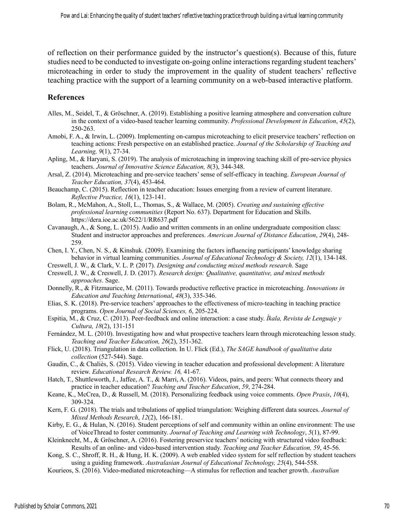of reflection on their performance guided by the instructor's question(s). Because of this, future studies need to be conducted to investigate on-going online interactions regarding student teachers' microteaching in order to study the improvement in the quality of student teachers' reflective teaching practice with the support of a learning community on a web-based interactive platform.

#### **References**

- Alles, M., Seidel, T., & Gröschner, A. (2019). Establishing a positive learning atmosphere and conversation culture in the context of a video-based teacher learning community. *Professional Development in Education*, *45*(2), 250-263.
- Amobi, F. A., & Irwin, L. (2009). Implementing on-campus microteaching to elicit preservice teachers' reflection on teaching actions: Fresh perspective on an established practice. *Journal of the Scholarship of Teaching and Learning, 9*(1), 27-34.
- Apling, M., & Haryani, S. (2019). The analysis of microteaching in improving teaching skill of pre-service physics teachers. *Journal of Innovative Science Education, 8*(3), 344-348.
- Arsal, Z. (2014). Microteaching and pre-service teachers' sense of self-efficacy in teaching. *European Journal of Teacher Education, 37*(4), 453-464.
- Beauchamp, C. (2015). Reflection in teacher education: Issues emerging from a review of current literature. *Reflective Practice, 16*(1), 123-141.
- Bolam, R., McMahon, A., Stoll, L., Thomas, S., & Wallace, M. (2005). *Creating and sustaining effective professional learning communities* (Report No. 637). Department for Education and Skills. https://dera.ioe.ac.uk/5622/1/RR637.pdf
- Cavanaugh, A., & Song, L. (2015). Audio and written comments in an online undergraduate composition class: Student and instructor approaches and preferences. *American Journal of Distance Education*, *29*(4), 248- 259.
- Chen, I. Y., Chen, N. S., & Kinshuk. (2009). Examining the factors influencing participants' knowledge sharing behavior in virtual learning communities. *Journal of Educational Technology & Society, 12*(1), 134-148.
- Creswell, J. W., & Clark, V. L. P. (2017). *Designing and conducting mixed methods research*. Sage
- Creswell, J. W., & Creswell, J. D. (2017). *Research design: Qualitative, quantitative, and mixed methods approaches*. Sage.
- Donnelly, R., & Fitzmaurice, M. (2011). Towards productive reflective practice in microteaching. *Innovations in Education and Teaching International*, *48*(3), 335-346.
- Elias, S. K. (2018). Pre-service teachers' approaches to the effectiveness of micro-teaching in teaching practice programs. *Open Journal of Social Sciences, 6*, 205-224.
- Espitia, M., & Cruz, C. (2013). Peer-feedback and online interaction: a case study. *Íkala, Revista de Lenguaje y Cultura, 18*(2), 131-151

Fernández, M. L. (2010). Investigating how and what prospective teachers learn through microteaching lesson study. *Teaching and Teacher Education, 26*(2), 351-362.

- Flick, U. (2018). Triangulation in data collection. In U. Flick (Ed.), *The SAGE handbook of qualitative data collection* (527-544). Sage.
- Gaudin, C., & Chaliès, S. (2015). Video viewing in teacher education and professional development: A literature review. *Educational Research Review. 16,* 41-67.
- Hatch, T., Shuttleworth, J., Jaffee, A. T., & Marri, A. (2016). Videos, pairs, and peers: What connects theory and practice in teacher education? *Teaching and Teacher Education*, *59*, 274-284.
- Keane, K., McCrea, D., & Russell, M. (2018). Personalizing feedback using voice comments. *Open Praxis*, *10*(4), 309-324.
- Kern, F. G. (2018). The trials and tribulations of applied triangulation: Weighing different data sources. *Journal of Mixed Methods Research*, *12*(2), 166-181.
- Kirby, E. G., & Hulan, N. (2016). Student perceptions of self and community within an online environment: The use of VoiceThread to foster community. *Journal of Teaching and Learning with Technology*, *5*(1), 87-99.
- Kleinknecht, M., & Gröschner, A. (2016). Fostering preservice teachers' noticing with structured video feedback: Results of an online- and video-based intervention study. *Teaching and Teacher Education, 59*, 45-56.
- Kong, S. C., Shroff, R. H., & Hung, H. K. (2009). A web enabled video system for self reflection by student teachers using a guiding framework. *Australasian Journal of Educational Technology, 25*(4), 544-558.
- Kourieos, S. (2016). Video-mediated microteaching—A stimulus for reflection and teacher growth. *Australian*